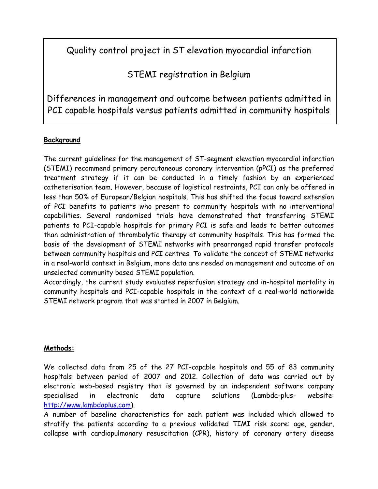# Quality control project in ST elevation myocardial infarction

STEMI registration in Belgium

Differences in management and outcome between patients admitted in PCI capable hospitals versus patients admitted in community hospitals

# **Background**

The current guidelines for the management of ST-segment elevation myocardial infarction (STEMI) recommend primary percutaneous coronary intervention (pPCI) as the preferred treatment strategy if it can be conducted in a timely fashion by an experienced catheterisation team. However, because of logistical restraints, PCI can only be offered in less than 50% of European/Belgian hospitals. This has shifted the focus toward extension of PCI benefits to patients who present to community hospitals with no interventional capabilities. Several randomised trials have demonstrated that transferring STEMI patients to PCI-capable hospitals for primary PCI is safe and leads to better outcomes than administration of thrombolytic therapy at community hospitals. This has formed the basis of the development of STEMI networks with prearranged rapid transfer protocols between community hospitals and PCI centres. To validate the concept of STEMI networks in a real-world context in Belgium, more data are needed on management and outcome of an unselected community based STEMI population.

Accordingly, the current study evaluates reperfusion strategy and in-hospital mortality in community hospitals and PCI-capable hospitals in the context of a real-world nationwide STEMI network program that was started in 2007 in Belgium.

# **Methods:**

We collected data from 25 of the 27 PCI-capable hospitals and 55 of 83 community hospitals between period of 2007 and 2012. Collection of data was carried out by electronic web-based registry that is governed by an independent software company specialised in electronic data capture solutions (Lambda-plus- website: [http://www.lambdaplus.com\)](http://www.lambdaplus.com/).

A number of baseline characteristics for each patient was included which allowed to stratify the patients according to a previous validated TIMI risk score: age, gender, collapse with cardiopulmonary resuscitation (CPR), history of coronary artery disease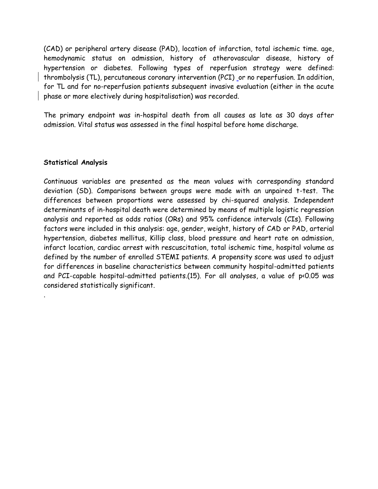(CAD) or peripheral artery disease (PAD), location of infarction, total ischemic time. age, hemodynamic status on admission, history of atherovascular disease, history of hypertension or diabetes. Following types of reperfusion strategy were defined: thrombolysis (TL), percutaneous coronary intervention (PCI) or no reperfusion. In addition, for TL and for no-reperfusion patients subsequent invasive evaluation (either in the acute phase or more electively during hospitalisation) was recorded.

The primary endpoint was in-hospital death from all causes as late as 30 days after admission. Vital status was assessed in the final hospital before home discharge.

# **Statistical Analysis**

.

Continuous variables are presented as the mean values with corresponding standard deviation (SD). Comparisons between groups were made with an unpaired t-test. The differences between proportions were assessed by chi-squared analysis. Independent determinants of in-hospital death were determined by means of multiple logistic regression analysis and reported as odds ratios (ORs) and 95% confidence intervals (CIs). Following factors were included in this analysis: age, gender, weight, history of CAD or PAD, arterial hypertension, diabetes mellitus, Killip class, blood pressure and heart rate on admission, infarct location, cardiac arrest with rescuscitation, total ischemic time, hospital volume as defined by the number of enrolled STEMI patients. A propensity score was used to adjust for differences in baseline characteristics between community hospital-admitted patients and PCI-capable hospital-admitted patients.(15). For all analyses, a value of p<0.05 was considered statistically significant.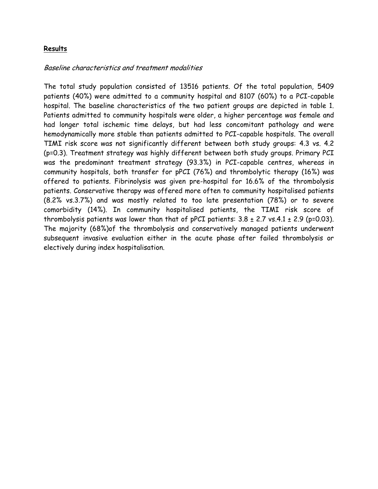# **Results**

#### Baseline characteristics and treatment modalities

The total study population consisted of 13516 patients. Of the total population, 5409 patients (40%) were admitted to a community hospital and 8107 (60%) to a PCI-capable hospital. The baseline characteristics of the two patient groups are depicted in table 1. Patients admitted to community hospitals were older, a higher percentage was female and had longer total ischemic time delays, but had less concomitant pathology and were hemodynamically more stable than patients admitted to PCI-capable hospitals. The overall TIMI risk score was not significantly different between both study groups: 4.3 vs. 4.2 (p=0.3). Treatment strategy was highly different between both study groups. Primary PCI was the predominant treatment strategy (93.3%) in PCI-capable centres, whereas in community hospitals, both transfer for pPCI (76%) and thrombolytic therapy (16%) was offered to patients. Fibrinolysis was given pre-hospital for 16.6% of the thrombolysis patients. Conservative therapy was offered more often to community hospitalised patients (8.2% vs.3.7%) and was mostly related to too late presentation (78%) or to severe comorbidity (14%). In community hospitalised patients, the TIMI risk score of thrombolysis patients was lower than that of pPCI patients:  $3.8 \pm 2.7$  vs. $4.1 \pm 2.9$  (p=0.03). The majority (68%)of the thrombolysis and conservatively managed patients underwent subsequent invasive evaluation either in the acute phase after failed thrombolysis or electively during index hospitalisation.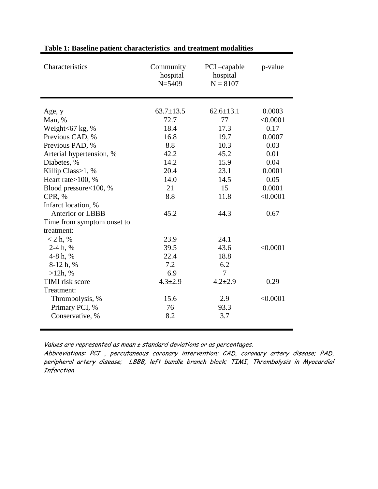| Characteristics            | Community<br>hospital<br>$N = 5409$ | PCI-capable<br>hospital<br>$N = 8107$ | p-value  |
|----------------------------|-------------------------------------|---------------------------------------|----------|
| Age, y                     | $63.7 \pm 13.5$                     | $62.6 \pm 13.1$                       | 0.0003   |
| Man, %                     | 72.7                                | 77                                    | < 0.0001 |
| Weight $<$ 67 kg, %        | 18.4                                | 17.3                                  | 0.17     |
| Previous CAD, %            | 16.8                                | 19.7                                  | 0.0007   |
| Previous PAD, %            | 8.8                                 | 10.3                                  | 0.03     |
| Arterial hypertension, %   | 42.2                                | 45.2                                  | 0.01     |
| Diabetes, %                | 14.2                                | 15.9                                  | 0.04     |
| Killip Class>1, %          | 20.4                                | 23.1                                  | 0.0001   |
| Heart rate>100, %          | 14.0                                | 14.5                                  | 0.05     |
| Blood pressure<100, %      | 21                                  | 15                                    | 0.0001   |
| CPR, %                     | 8.8                                 | 11.8                                  | < 0.0001 |
| Infarct location, %        |                                     |                                       |          |
| <b>Anterior or LBBB</b>    | 45.2                                | 44.3                                  | 0.67     |
| Time from symptom onset to |                                     |                                       |          |
| treatment:                 |                                     |                                       |          |
| $< 2 h, \%$                | 23.9                                | 24.1                                  |          |
| $2-4 h, \%$                | 39.5                                | 43.6                                  | < 0.0001 |
| 4-8 h, $%$                 | 22.4                                | 18.8                                  |          |
| 8-12 h, %                  | 7.2                                 | 6.2                                   |          |
| $>12h$ , %                 | 6.9                                 | $\overline{\mathcal{L}}$              |          |
| <b>TIMI</b> risk score     | $4.3 \pm 2.9$                       | $4.2 \pm 2.9$                         | 0.29     |
| Treatment:                 |                                     |                                       |          |
| Thrombolysis, %            | 15.6                                | 2.9                                   | < 0.0001 |
| Primary PCI, %             | 76                                  | 93.3                                  |          |
| Conservative, %            | 8.2                                 | 3.7                                   |          |

# **Table 1: Baseline patient characteristics and treatment modalities**

Values are represented as mean ± standard deviations or as percentages.

Abbreviations: PCI , percutaneous coronary intervention; CAD, coronary artery disease; PAD, peripheral artery disease; LBBB, left bundle branch block; TIMI, Thrombolysis in Myocardial Infarction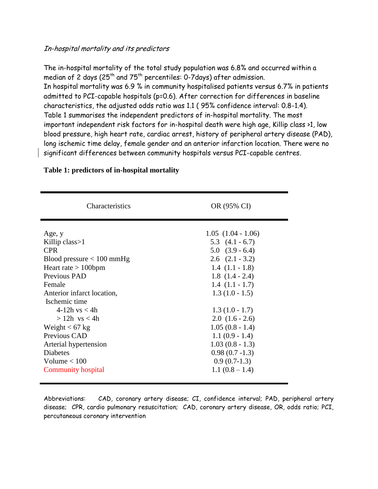#### In-hospital mortality and its predictors

The in-hospital mortality of the total study population was 6.8% and occurred within a median of 2 days (25<sup>th</sup> and 75<sup>th</sup> percentiles: 0-7days) after admission. In hospital mortality was 6.9 % in community hospitalised patients versus 6.7% in patients admitted to PCI-capable hospitals (p=0.6). After correction for differences in baseline characteristics, the adjusted odds ratio was 1.1 ( 95% confidence interval: 0.8-1.4). Table 1 summarises the independent predictors of in-hospital mortality. The most important independent risk factors for in-hospital death were high age, Killip class >1, low blood pressure, high heart rate, cardiac arrest, history of peripheral artery disease (PAD), long ischemic time delay, female gender and an anterior infarction location. There were no significant differences between community hospitals versus PCI-capable centres.

| <b>Characteristics</b>                                                                                                                                                                                             | OR (95% CI)                                                                                                                                                                                                      |  |
|--------------------------------------------------------------------------------------------------------------------------------------------------------------------------------------------------------------------|------------------------------------------------------------------------------------------------------------------------------------------------------------------------------------------------------------------|--|
| Age, y<br>Killip class $>1$<br><b>CPR</b><br>Blood pressure $< 100$ mmHg<br>Heart rate $> 100$ bpm<br>Previous PAD<br>Female<br>Anterior infarct location,<br>Ischemic time<br>4-12h $vs < 4h$<br>$>12h$ vs $< 4h$ | $1.05$ $(1.04 - 1.06)$<br>5.3 $(4.1 - 6.7)$<br>$5.0$ $(3.9 - 6.4)$<br>$2.6$ $(2.1 - 3.2)$<br>$1.4(1.1-1.8)$<br>$1.8(1.4 - 2.4)$<br>$1.4(1.1-1.7)$<br>$1.3(1.0 - 1.5)$<br>$1.3(1.0 - 1.7)$<br>$2.0$ $(1.6 - 2.6)$ |  |
| Weight $< 67 kg$<br>Previous CAD<br>Arterial hypertension<br><b>Diabetes</b><br>Volume $< 100$<br><b>Community hospital</b>                                                                                        | $1.05(0.8 - 1.4)$<br>$1.1(0.9 - 1.4)$<br>$1.03(0.8 - 1.3)$<br>$0.98(0.7 - 1.3)$<br>$0.9(0.7-1.3)$<br>$1.1(0.8-1.4)$                                                                                              |  |

# **Table 1: predictors of in-hospital mortality**

Abbreviations: CAD, coronary artery disease; CI, confidence interval; PAD, peripheral artery disease; CPR, cardio pulmonary resuscitation; CAD, coronary artery disease, OR, odds ratio; PCI, percutaneous coronary intervention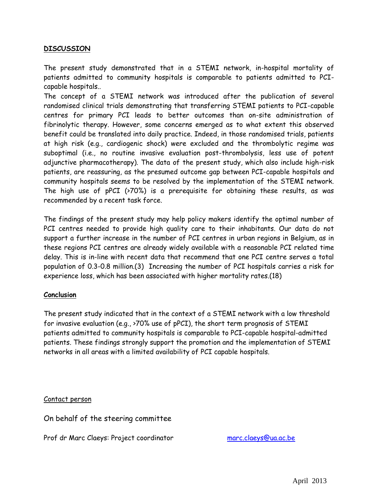# **DISCUSSION**

The present study demonstrated that in a STEMI network, in-hospital mortality of patients admitted to community hospitals is comparable to patients admitted to PCIcapable hospitals..

The concept of a STEMI network was introduced after the publication of several randomised clinical trials demonstrating that transferring STEMI patients to PCI-capable centres for primary PCI leads to better outcomes than on-site administration of fibrinolytic therapy. However, some concerns emerged as to what extent this observed benefit could be translated into daily practice. Indeed, in those randomised trials, patients at high risk (e.g., cardiogenic shock) were excluded and the thrombolytic regime was suboptimal (i.e., no routine invasive evaluation post-thrombolysis, less use of potent adjunctive pharmacotherapy). The data of the present study, which also include high-risk patients, are reassuring, as the presumed outcome gap between PCI-capable hospitals and community hospitals seems to be resolved by the implementation of the STEMI network. The high use of pPCI (>70%) is a prerequisite for obtaining these results, as was recommended by a recent task force.

The findings of the present study may help policy makers identify the optimal number of PCI centres needed to provide high quality care to their inhabitants. Our data do not support a further increase in the number of PCI centres in urban regions in Belgium, as in these regions PCI centres are already widely available with a reasonable PCI related time delay. This is in-line with recent data that recommend that one PCI centre serves a total population of 0.3-0.8 million.(3) Increasing the number of PCI hospitals carries a risk for experience loss, which has been associated with higher mortality rates.(18)

# **Conclusion**

The present study indicated that in the context of a STEMI network with a low threshold for invasive evaluation (e.g., >70% use of pPCI), the short term prognosis of STEMI patients admitted to community hospitals is comparable to PCI-capable hospital-admitted patients. These findings strongly support the promotion and the implementation of STEMI networks in all areas with a limited availability of PCI capable hospitals.

# Contact person

On behalf of the steering committee

Prof dr Marc Claeys: Project coordinator [marc.claeys@ua.ac.be](mailto:marc.claeys@ua.ac.be)